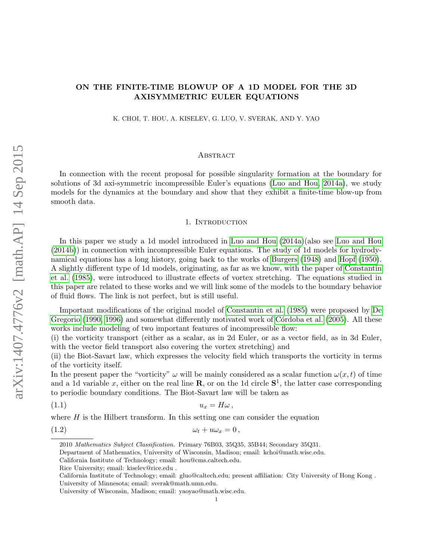# ON THE FINITE-TIME BLOWUP OF A 1D MODEL FOR THE 3D AXISYMMETRIC EULER EQUATIONS

K. CHOI, T. HOU, A. KISELEV, G. LUO, V. SVERAK, AND Y. YAO

#### **ABSTRACT**

In connection with the recent proposal for possible singularity formation at the boundary for solutions of 3d axi-symmetric incompressible Euler's equations (Luo [and Hou, 2014a\)](#page-20-0), we study models for the dynamics at the boundary and show that they exhibit a finite-time blow-up from smooth data.

#### 1. Introduction

In this paper we study a 1d model introduced in [Luo and Hou \(2014a\)](#page-20-0)(also see [Luo and Hou](#page-20-1) [\(2014b\)](#page-20-1)) in connection with incompressible Euler equations. The study of 1d models for hydrodynamical equations has a long history, going back to the works of [Burgers \(1948\)](#page-20-2) and [Hopf \(1950\)](#page-20-3). A slightly different type of 1d models, originating, as far as we know, with the paper of [Constantin](#page-20-4) [et al. \(1985\)](#page-20-4), were introduced to illustrate effects of vortex stretching. The equations studied in this paper are related to these works and we will link some of the models to the boundary behavior of fluid flows. The link is not perfect, but is still useful.

Important modifications of the original model of [Constantin et al. \(1985\)](#page-20-4) were proposed by [De](#page-20-5) [Gregorio \(1990,](#page-20-5) [1996\)](#page-20-6) and somewhat differently motivated work of Córdoba et al. (2005). All these works include modeling of two important features of incompressible flow:

(i) the vorticity transport (either as a scalar, as in 2d Euler, or as a vector field, as in 3d Euler, with the vector field transport also covering the vortex stretching) and

(ii) the Biot-Savart law, which expresses the velocity field which transports the vorticity in terms of the vorticity itself.

In the present paper the "vorticity"  $\omega$  will be mainly considered as a scalar function  $\omega(x, t)$  of time and a 1d variable x, either on the real line **R**, or on the 1d circle  $S^1$ , the latter case corresponding to periodic boundary conditions. The Biot-Savart law will be taken as

$$
(1.1) \t\t u_x = H\omega,
$$

where  $H$  is the Hilbert transform. In this setting one can consider the equation

(1.2)  $\omega_t + u\omega_x = 0$ ,

Department of Mathematics, University of Wisconsin, Madison; email: kchoi@math.wisc.edu.

<span id="page-0-1"></span><span id="page-0-0"></span><sup>2010</sup> Mathematics Subject Classification. Primary 76B03, 35Q35, 35B44; Secondary 35Q31.

California Institute of Technology; email: hou@cms.caltech.edu.

Rice University; email: kiselev@rice.edu .

California Institute of Technology; email: gluo@caltech.edu; present affiliation: City University of Hong Kong . University of Minnesota; email: sverak@math.umn.edu.

University of Wisconsin, Madison; email: yaoyao@math.wisc.edu.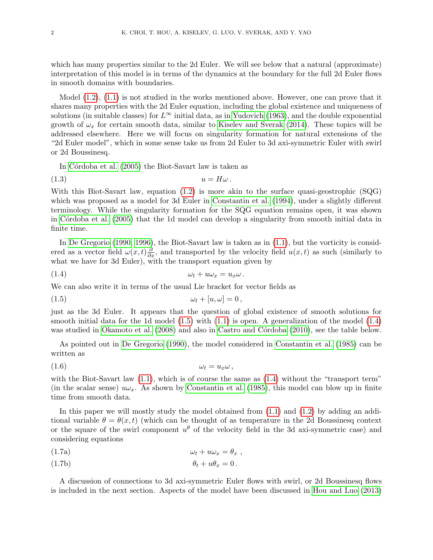which has many properties similar to the 2d Euler. We will see below that a natural (approximate) interpretation of this model is in terms of the dynamics at the boundary for the full 2d Euler flows in smooth domains with boundaries.

Model  $(1.2)$ ,  $(1.1)$  is not studied in the works mentioned above. However, one can prove that it shares many properties with the 2d Euler equation, including the global existence and uniqueness of solutions (in suitable classes) for  $L^{\infty}$  initial data, as in [Yudovich \(1963\)](#page-21-0), and the double exponential growth of  $\omega_x$  for certain smooth data, similar to [Kiselev and Sverak \(2014\)](#page-20-8). These topics will be addressed elsewhere. Here we will focus on singularity formation for natural extensions of the "2d Euler model", which in some sense take us from 2d Euler to 3d axi-symmetric Euler with swirl or 2d Boussinesq.

In Córdoba et al. (2005) the Biot-Savart law is taken as

$$
(1.3) \t\t u = H\omega.
$$

With this Biot-Savart law, equation [\(1.2\)](#page-0-0) is more akin to the surface quasi-geostrophic (SQG) which was proposed as a model for 3d Euler in [Constantin et al. \(1994\)](#page-20-9), under a slightly different terminology. While the singularity formation for the SQG equation remains open, it was shown in Córdoba et al. (2005) that the 1d model can develop a singularity from smooth initial data in finite time.

In [De Gregorio \(1990,](#page-20-5) [1996\)](#page-20-6), the Biot-Savart law is taken as in [\(1.1\)](#page-0-1), but the vorticity is considered as a vector field  $\omega(x,t) \frac{\partial}{\partial x}$ , and transported by the velocity field  $u(x,t)$  as such (similarly to what we have for 3d Euler), with the transport equation given by

<span id="page-1-1"></span>
$$
(1.4) \t\t\t\t\t\omega_t + u\omega_x = u_x\omega.
$$

We can also write it in terms of the usual Lie bracket for vector fields as

<span id="page-1-0"></span>
$$
\omega_t + [u, \omega] = 0,
$$

just as the 3d Euler. It appears that the question of global existence of smooth solutions for smooth initial data for the 1d model  $(1.5)$  with  $(1.1)$  is open. A generalization of the model  $(1.4)$ was studied in [Okamoto et al. \(2008\)](#page-21-1) and also in Castro and Córdoba (2010), see the table below.

As pointed out in [De Gregorio \(1990\)](#page-20-5), the model considered in [Constantin et](#page-20-4) al. [\(1985\)](#page-20-4) can be written as

(1.6) ω<sup>t</sup> = uxω ,

with the Biot-Savart law  $(1.1)$ , which is of course the same as  $(1.4)$  without the "transport term" (in the scalar sense)  $u\omega_x$ . As shown by [Constantin et al. \(1985\)](#page-20-4), this model can blow up in finite time from smooth data.

In this paper we will mostly study the model obtained from [\(1.1\)](#page-0-1) and [\(1.2\)](#page-0-0) by adding an additional variable  $\theta = \theta(x, t)$  (which can be thought of as temperature in the 2d Boussinesq context or the square of the swirl component  $u^{\theta}$  of the velocity field in the 3d axi-symmetric case) and considering equations

<span id="page-1-2"></span>
$$
(1.7a) \t\t \t\t \omega_t + u\omega_x = \theta_x ,
$$

$$
\theta_t + u\theta_x = 0.
$$

A discussion of connections to 3d axi-symmetric Euler flows with swirl, or 2d Boussinesq flows is included in the next section. Aspects of the model have been discussed in [Hou and Luo \(2013\)](#page-20-11)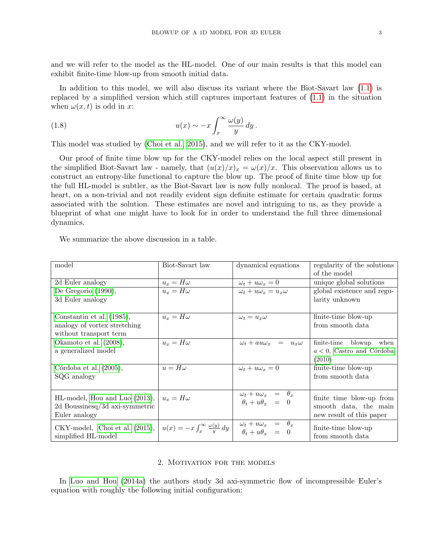and we will refer to the model as the HL-model. One of our main results is that this model can exhibit finite-time blow-up from smooth initial data.

In addition to this model, we will also discuss its variant where the Biot-Savart law [\(1.1\)](#page-0-1) is replaced by a simplified version which still captures important features of [\(1.1\)](#page-0-1) in the situation when  $\omega(x, t)$  is odd in x:

(1.8) 
$$
u(x) \sim -x \int_x^\infty \frac{\omega(y)}{y} dy.
$$

This model was studied by [\(Choi et al., 2015\)](#page-20-12), and we will refer to it as the CKY-model.

Our proof of finite time blow up for the CKY-model relies on the local aspect still present in the simplified Biot-Savart law - namely, that  $(u(x)/x)_x = \omega(x)/x$ . This observation allows us to construct an entropy-like functional to capture the blow up. The proof of finite time blow up for the full HL-model is subtler, as the Biot-Savart law is now fully nonlocal. The proof is based, at heart, on a non-trivial and not readily evident sign definite estimate for certain quadratic forms associated with the solution. These estimates are novel and intriguing to us, as they provide a blueprint of what one might have to look for in order to understand the full three dimensional dynamics.

We summarize the above discussion in a table.

| model                          | Biot-Savart law                                      | dynamical equations                                                                                    | regularity of the solutions<br>of the model |
|--------------------------------|------------------------------------------------------|--------------------------------------------------------------------------------------------------------|---------------------------------------------|
| 2d Euler analogy               | $u_x = H\omega$                                      | $\omega_t + u \omega_x = 0$                                                                            | unique global solutions                     |
| De Gregorio $(1990)$ ,         | $u_x = H\omega$                                      | $\omega_t + u\omega_x = u_x\omega$                                                                     | global existence and regu-                  |
| 3d Euler analogy               |                                                      |                                                                                                        | larity unknown                              |
| Constantin et al. (1985),      | $u_x = H\omega$                                      | $\omega_t = u_x \omega$                                                                                | finite-time blow-up                         |
| analogy of vortex stretching   |                                                      |                                                                                                        | from smooth data                            |
| without transport term         |                                                      |                                                                                                        |                                             |
| Okamoto et al. (2008),         | $u_x = H\omega$                                      | $\omega_t + au\omega_x = u_x\omega$                                                                    | finite-time blowup<br>when                  |
| a generalized model            |                                                      |                                                                                                        | $a < 0$ , Castro and Córdoba                |
|                                |                                                      |                                                                                                        | (2010)                                      |
| Córdoba et al. $(2005)$ ,      | $u = H\omega$                                        | $\omega_t + u \omega_x = 0$                                                                            | finite-time blow-up                         |
| SQG analogy                    |                                                      |                                                                                                        | from smooth data                            |
|                                |                                                      |                                                                                                        |                                             |
| HL-model, Hou and Luo (2013),  | $u_x = H\omega$                                      | $\begin{array}{rcl}\n\omega_t + u\omega_x & = & \theta_x \\ \theta_t + u\theta_x & = & 0\n\end{array}$ | finite time blow-up from                    |
| 2d Boussinesq/3d axi-symmetric |                                                      |                                                                                                        | smooth data, the main                       |
| Euler analogy                  |                                                      |                                                                                                        | new result of this paper                    |
|                                |                                                      |                                                                                                        |                                             |
| CKY-model, Choi et al. (2015), | $u(x) = -x \int_{x}^{\infty} \frac{\omega(y)}{y} dy$ | $\begin{array}{rcl}\n\omega_t + u\omega_x & = & \theta_x \\ \theta_t + u\theta_x & = & 0\n\end{array}$ | finite-time blow-up                         |
| simplified HL-model            |                                                      |                                                                                                        | from smooth data                            |

#### 2. Motivation for the models

In [Luo and Hou \(2014a\)](#page-20-0) the authors study 3d axi-symmetric flow of incompressible Euler's equation with roughly the following initial configuration: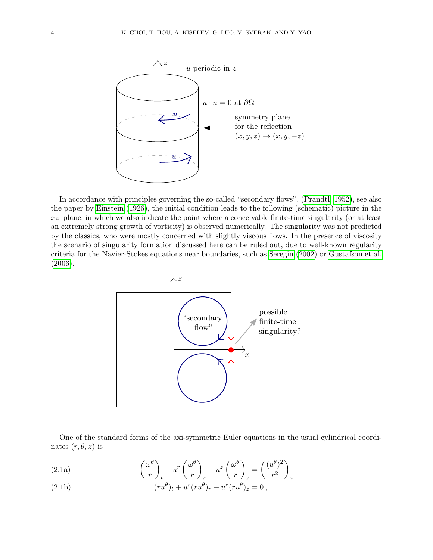

In accordance with principles governing the so-called "secondary flows", [\(Prandtl, 1952\)](#page-21-2), see also the paper by [Einstein \(1926\)](#page-20-13), the initial condition leads to the following (schematic) picture in the  $xz$ –plane, in which we also indicate the point where a conceivable finite-time singularity (or at least an extremely strong growth of vorticity) is observed numerically. The singularity was not predicted by the classics, who were mostly concerned with slightly viscous flows. In the presence of viscosity the scenario of singularity formation discussed here can be ruled out, due to well-known regularity criteria for the Navier-Stokes equations near boundaries, such as [Seregin \(2002\)](#page-21-3) or [Gustafson et al.](#page-20-14) [\(2006\)](#page-20-14).



<span id="page-3-0"></span>One of the standard forms of the axi-symmetric Euler equations in the usual cylindrical coordinates  $(r, \theta, z)$  is

(2.1a) 
$$
\left(\frac{\omega^{\theta}}{r}\right)_{t} + u^{r} \left(\frac{\omega^{\theta}}{r}\right)_{r} + u^{z} \left(\frac{\omega^{\theta}}{r}\right)_{z} = \left(\frac{(u^{\theta})^{2}}{r^{2}}\right)_{z}
$$

(2.1b) 
$$
(ru^{\theta})_{t} + u^{r}(ru^{\theta})_{r} + u^{z}(ru^{\theta})_{z} = 0,
$$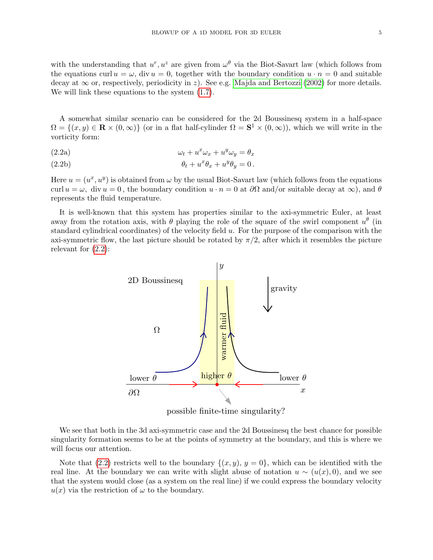with the understanding that  $u^r, u^z$  are given from  $\omega^{\theta}$  via the Biot-Savart law (which follows from the equations curl  $u = \omega$ , div  $u = 0$ , together with the boundary condition  $u \cdot n = 0$  and suitable decay at  $\infty$  or, respectively, periodicity in z). See e.g. [Majda and Bertozzi \(2002\)](#page-20-15) for more details. We will link these equations to the system [\(1.7\)](#page-1-2).

<span id="page-4-0"></span>A somewhat similar scenario can be considered for the 2d Boussinesq system in a half-space  $\Omega = \{(x, y) \in \mathbf{R} \times (0, \infty)\}\$  (or in a flat half-cylinder  $\Omega = \mathbf{S}^1 \times (0, \infty)$ ), which we will write in the vorticity form:

(2.2a) 
$$
\omega_t + u^x \omega_x + u^y \omega_y = \theta_x
$$

(2.2b) 
$$
\theta_t + u^x \theta_x + u^y \theta_y = 0.
$$

Here  $u = (u^x, u^y)$  is obtained from  $\omega$  by the usual Biot-Savart law (which follows from the equations curl  $u = \omega$ , div  $u = 0$ , the boundary condition  $u \cdot n = 0$  at  $\partial\Omega$  and/or suitable decay at  $\infty$ ), and  $\theta$ represents the fluid temperature.

It is well-known that this system has properties similar to the axi-symmetric Euler, at least away from the rotation axis, with  $\theta$  playing the role of the square of the swirl component  $u^{\theta}$  (in standard cylindrical coordinates) of the velocity field  $u$ . For the purpose of the comparison with the axi-symmetric flow, the last picture should be rotated by  $\pi/2$ , after which it resembles the picture relevant for [\(2.2\)](#page-4-0):



possible finite-time singularity?

We see that both in the 3d axi-symmetric case and the 2d Boussinesq the best chance for possible singularity formation seems to be at the points of symmetry at the boundary, and this is where we will focus our attention.

Note that [\(2.2\)](#page-4-0) restricts well to the boundary  $\{(x, y), y = 0\}$ , which can be identified with the real line. At the boundary we can write with slight abuse of notation  $u \sim (u(x), 0)$ , and we see that the system would close (as a system on the real line) if we could express the boundary velocity  $u(x)$  via the restriction of  $\omega$  to the boundary.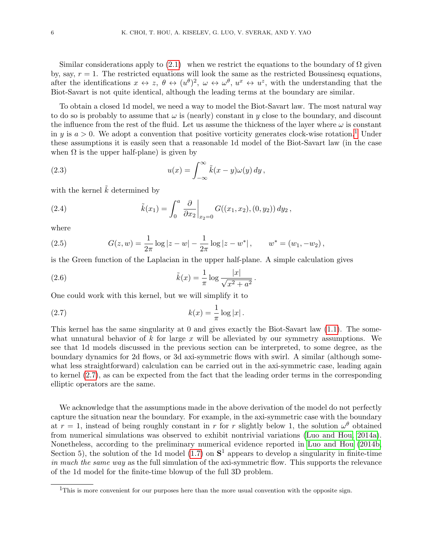Similar considerations apply to  $(2.1)$  when we restrict the equations to the boundary of  $\Omega$  given by, say,  $r = 1$ . The restricted equations will look the same as the restricted Boussinesq equations, after the identifications  $x \leftrightarrow z$ ,  $\theta \leftrightarrow (u^{\theta})^2$ ,  $\omega \leftrightarrow \omega^{\theta}$ ,  $u^x \leftrightarrow u^z$ , with the understanding that the Biot-Savart is not quite identical, although the leading terms at the boundary are similar.

To obtain a closed 1d model, we need a way to model the Biot-Savart law. The most natural way to do so is probably to assume that  $\omega$  is (nearly) constant in y close to the boundary, and discount the influence from the rest of the fluid. Let us assume the thickness of the layer where  $\omega$  is constant in y is  $a > 0$ . We adopt a convention that positive vorticity generates clock-wise rotation.<sup>[1](#page-5-0)</sup> Under these assumptions it is easily seen that a reasonable 1d model of the Biot-Savart law (in the case when  $\Omega$  is the upper half-plane) is given by

(2.3) 
$$
u(x) = \int_{-\infty}^{\infty} \tilde{k}(x - y)\omega(y) dy,
$$

with the kernel  $\tilde{k}$  determined by

(2.4) 
$$
\tilde{k}(x_1) = \int_0^a \left. \frac{\partial}{\partial x_2} \right|_{x_2=0} G((x_1, x_2), (0, y_2)) dy_2,
$$

where

(2.5) 
$$
G(z, w) = \frac{1}{2\pi} \log |z - w| - \frac{1}{2\pi} \log |z - w^*|, \qquad w^* = (w_1, -w_2),
$$

is the Green function of the Laplacian in the upper half-plane. A simple calculation gives

(2.6) 
$$
\tilde{k}(x) = \frac{1}{\pi} \log \frac{|x|}{\sqrt{x^2 + a^2}}
$$

One could work with this kernel, but we will simplify it to

(2.7) 
$$
k(x) = \frac{1}{\pi} \log |x|.
$$

This kernel has the same singularity at 0 and gives exactly the Biot-Savart law [\(1.1\)](#page-0-1). The somewhat unnatural behavior of k for large x will be alleviated by our symmetry assumptions. We see that 1d models discussed in the previous section can be interpreted, to some degree, as the boundary dynamics for 2d flows, or 3d axi-symmetric flows with swirl. A similar (although somewhat less straightforward) calculation can be carried out in the axi-symmetric case, leading again to kernel [\(2.7\)](#page-5-1), as can be expected from the fact that the leading order terms in the corresponding elliptic operators are the same.

<span id="page-5-1"></span>.

We acknowledge that the assumptions made in the above derivation of the model do not perfectly capture the situation near the boundary. For example, in the axi-symmetric case with the boundary at  $r = 1$ , instead of being roughly constant in r for r slightly below 1, the solution  $\omega^{\theta}$  obtained from numerical simulations was observed to exhibit nontrivial variations [\(Luo and Hou, 2014a\)](#page-20-0). Nonetheless, according to the preliminary numerical evidence reported in [Luo and Hou \(2014b,](#page-20-1) Section 5), the solution of the 1d model [\(1.7\)](#page-1-2) on  $S<sup>1</sup>$  appears to develop a singularity in finite-time *in much the same way* as the full simulation of the axi-symmetric flow. This supports the relevance of the 1d model for the finite-time blowup of the full 3D problem.

<span id="page-5-0"></span><sup>&</sup>lt;sup>1</sup>This is more convenient for our purposes here than the more usual convention with the opposite sign.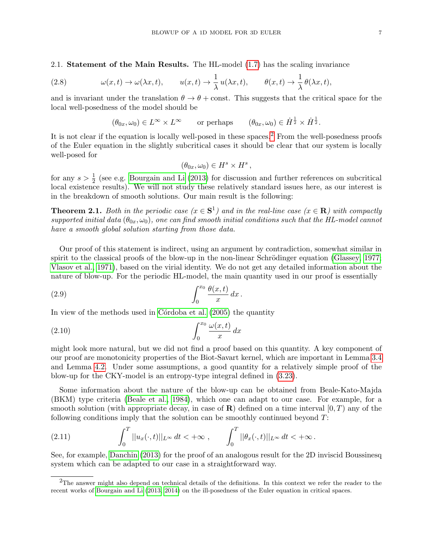2.1. Statement of the Main Results. The HL-model [\(1.7\)](#page-1-2) has the scaling invariance

(2.8) 
$$
\omega(x,t) \to \omega(\lambda x,t), \qquad u(x,t) \to \frac{1}{\lambda} u(\lambda x,t), \qquad \theta(x,t) \to \frac{1}{\lambda} \theta(\lambda x,t),
$$

and is invariant under the translation  $\theta \to \theta + \text{const.}$  This suggests that the critical space for the local well-posedness of the model should be

<span id="page-6-2"></span>
$$
(\theta_{0x}, \omega_0) \in L^{\infty} \times L^{\infty}
$$
 or perhaps  $(\theta_{0x}, \omega_0) \in \dot{H}^{\frac{1}{2}} \times \dot{H}^{\frac{1}{2}}$ .

It is not clear if the equation is locally well-posed in these spaces.<sup>[2](#page-6-0)</sup> From the well-posedness proofs of the Euler equation in the slightly subcritical cases it should be clear that our system is locally well-posed for

$$
(\theta_{0x}, \omega_0) \in H^s \times H^s ,
$$

for any  $s > \frac{1}{2}$  (see e.g. [Bourgain and Li \(2013\)](#page-20-16) for discussion and further references on subcritical local existence results). We will not study these relatively standard issues here, as our interest is in the breakdown of smooth solutions. Our main result is the following:

<span id="page-6-3"></span>**Theorem 2.1.** *Both in the periodic case*  $(x \in S^1)$  *and in the real-line case*  $(x \in R)$  *with compactly*  $supported initial data$  ( $\theta_{0x}, \omega_0$ ), one can find smooth initial conditions such that the HL-model cannot *have a smooth global solution starting from those data.*

Our proof of this statement is indirect, using an argument by contradiction, somewhat similar in spirit to the classical proofs of the blow-up in the non-linear Schrödinger equation (Glassey,  $1977$ ; [Vlasov et al., 1971\)](#page-21-4), based on the virial identity. We do not get any detailed information about the nature of blow-up. For the periodic HL-model, the main quantity used in our proof is essentially

$$
\int_0^{x_0} \frac{\theta(x,t)}{x} dx.
$$

In view of the methods used in Córdoba et al. (2005) the quantity

$$
\int_0^{x_0} \frac{\omega(x,t)}{x} dx
$$

might look more natural, but we did not find a proof based on this quantity. A key component of our proof are monotonicity properties of the Biot-Savart kernel, which are important in Lemma [3.4](#page-12-0) and Lemma [4.2.](#page-15-0) Under some assumptions, a good quantity for a relatively simple proof of the blow-up for the CKY-model is an entropy-type integral defined in [\(3.23\)](#page-10-0).

Some information about the nature of the blow-up can be obtained from Beale-Kato-Majda (BKM) type criteria [\(Beale et al., 1984\)](#page-20-18), which one can adapt to our case. For example, for a smooth solution (with appropriate decay, in case of  $\mathbf{R}$ ) defined on a time interval  $[0, T)$  any of the following conditions imply that the solution can be smoothly continued beyond  $T$ :

<span id="page-6-1"></span>(2.11) 
$$
\int_0^T ||u_x(\cdot,t)||_{L^\infty} dt < +\infty , \qquad \int_0^T ||\theta_x(\cdot,t)||_{L^\infty} dt < +\infty .
$$

See, for example, [Danchin \(2013\)](#page-20-19) for the proof of an analogous result for the 2D inviscid Boussinesq system which can be adapted to our case in a straightforward way.

<span id="page-6-0"></span><sup>&</sup>lt;sup>2</sup>The answer might also depend on technical details of the definitions. In this context we refer the reader to the recent works of [Bourgain and Li \(2013,](#page-20-16) [2014\)](#page-20-20) on the ill-posedness of the Euler equation in critical spaces.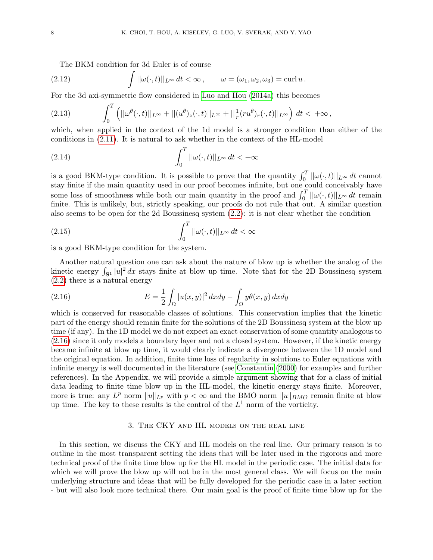The BKM condition for 3d Euler is of course

(2.12) 
$$
\int ||\omega(\cdot,t)||_{L^{\infty}} dt < \infty, \qquad \omega = (\omega_1, \omega_2, \omega_3) = \operatorname{curl} u.
$$

For the 3d axi-symmetric flow considered in [Luo and Hou \(2014a\)](#page-20-0) this becomes

(2.13) 
$$
\int_0^T \left( ||\omega^{\theta}(\cdot,t)||_{L^{\infty}} + ||(u^{\theta})_z(\cdot,t)||_{L^{\infty}} + ||^{\frac{1}{r}}(ru^{\theta})_r(\cdot,t)||_{L^{\infty}} \right) dt < +\infty,
$$

which, when applied in the context of the 1d model is a stronger condition than either of the conditions in [\(2.11\)](#page-6-1). It is natural to ask whether in the context of the HL-model

(2.14) 
$$
\int_0^T ||\omega(\cdot, t)||_{L^\infty} dt < +\infty
$$

is a good BKM-type condition. It is possible to prove that the quantity  $\int_0^T ||\omega(\cdot, t)||_{L^\infty} dt$  cannot stay finite if the main quantity used in our proof becomes infinite, but one could conceivably have some loss of smoothness while both our main quantity in the proof and  $\int_0^T ||\omega(\cdot, t)||_{L^\infty} dt$  remain finite. This is unlikely, but, strictly speaking, our proofs do not rule that out. A similar question also seems to be open for the 2d Boussinesq system [\(2.2\)](#page-4-0): it is not clear whether the condition

(2.15) 
$$
\int_0^T ||\omega(\cdot, t)||_{L^\infty} dt < \infty
$$

is a good BKM-type condition for the system.

Another natural question one can ask about the nature of blow up is whether the analog of the kinetic energy  $\int_{S^1} |u|^2 dx$  stays finite at blow up time. Note that for the 2D Boussinesq system [\(2.2\)](#page-4-0) there is a natural energy

<span id="page-7-0"></span>(2.16) 
$$
E = \frac{1}{2} \int_{\Omega} |u(x, y)|^2 dx dy - \int_{\Omega} y\theta(x, y) dx dy
$$

which is conserved for reasonable classes of solutions. This conservation implies that the kinetic part of the energy should remain finite for the solutions of the 2D Boussinesq system at the blow up time (if any). In the 1D model we do not expect an exact conservation of some quantity analogous to [\(2.16\)](#page-7-0) since it only models a boundary layer and not a closed system. However, if the kinetic energy became infinite at blow up time, it would clearly indicate a divergence between the 1D model and the original equation. In addition, finite time loss of regularity in solutions to Euler equations with infinite energy is well documented in the literature (see [Constantin \(2000\)](#page-20-21) for examples and further references). In the Appendix, we will provide a simple argument showing that for a class of initial data leading to finite time blow up in the HL-model, the kinetic energy stays finite. Moreover, more is true: any  $L^p$  norm  $||u||_{L^p}$  with  $p < \infty$  and the BMO norm  $||u||_{BMO}$  remain finite at blow up time. The key to these results is the control of the  $L^1$  norm of the vorticity.

#### 3. The CKY and HL models on the real line

In this section, we discuss the CKY and HL models on the real line. Our primary reason is to outline in the most transparent setting the ideas that will be later used in the rigorous and more technical proof of the finite time blow up for the HL model in the periodic case. The initial data for which we will prove the blow up will not be in the most general class. We will focus on the main underlying structure and ideas that will be fully developed for the periodic case in a later section - but will also look more technical there. Our main goal is the proof of finite time blow up for the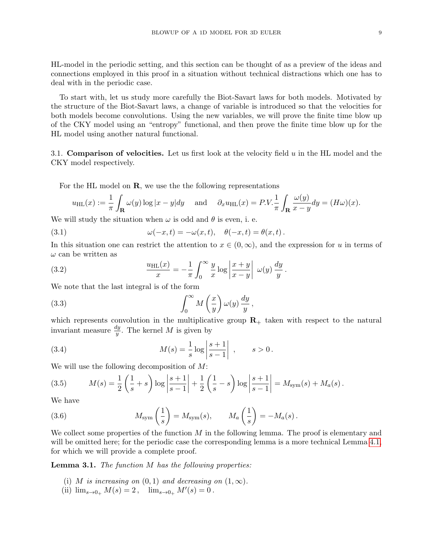HL-model in the periodic setting, and this section can be thought of as a preview of the ideas and connections employed in this proof in a situation without technical distractions which one has to deal with in the periodic case.

To start with, let us study more carefully the Biot-Savart laws for both models. Motivated by the structure of the Biot-Savart laws, a change of variable is introduced so that the velocities for both models become convolutions. Using the new variables, we will prove the finite time blow up of the CKY model using an "entropy" functional, and then prove the finite time blow up for the HL model using another natural functional.

<span id="page-8-3"></span>3.1. **Comparison of velocities.** Let us first look at the velocity field  $u$  in the HL model and the CKY model respectively.

For the HL model on  $\mathbf R$ , we use the the following representations

$$
u_{\rm HL}(x) := \frac{1}{\pi} \int_{\mathbf{R}} \omega(y) \log |x - y| dy \quad \text{and} \quad \partial_x u_{\rm HL}(x) = P.V. \frac{1}{\pi} \int_{\mathbf{R}} \frac{\omega(y)}{x - y} dy = (H\omega)(x).
$$

We will study the situation when  $\omega$  is odd and  $\theta$  is even, i. e.

(3.1) 
$$
\omega(-x,t) = -\omega(x,t), \quad \theta(-x,t) = \theta(x,t).
$$

In this situation one can restrict the attention to  $x \in (0, \infty)$ , and the expression for u in terms of  $\omega$  can be written as

(3.2) 
$$
\frac{u_{\text{HL}}(x)}{x} = -\frac{1}{\pi} \int_0^\infty \frac{y}{x} \log \left| \frac{x+y}{x-y} \right| \omega(y) \frac{dy}{y}.
$$

We note that the last integral is of the form

<span id="page-8-0"></span>(3.3) 
$$
\int_0^\infty M\left(\frac{x}{y}\right) \omega(y) \frac{dy}{y},
$$

which represents convolution in the multiplicative group  $\mathbf{R}_{+}$  taken with respect to the natural invariant measure  $\frac{dy}{y}$ . The kernel M is given by

(3.4) 
$$
M(s) = \frac{1}{s} \log \left| \frac{s+1}{s-1} \right| , \qquad s > 0.
$$

We will use the following decomposition of M:

<span id="page-8-2"></span>(3.5) 
$$
M(s) = \frac{1}{2} \left( \frac{1}{s} + s \right) \log \left| \frac{s+1}{s-1} \right| + \frac{1}{2} \left( \frac{1}{s} - s \right) \log \left| \frac{s+1}{s-1} \right| = M_{sym}(s) + M_a(s).
$$

We have

(3.6) 
$$
M_{\text{sym}}\left(\frac{1}{s}\right) = M_{\text{sym}}(s), \qquad M_a\left(\frac{1}{s}\right) = -M_a(s).
$$

We collect some properties of the function  $M$  in the following lemma. The proof is elementary and will be omitted here; for the periodic case the corresponding lemma is a more technical Lemma [4.1,](#page-14-0) for which we will provide a complete proof.

<span id="page-8-1"></span>Lemma 3.1. *The function* M *has the following properties:*

- (i) M *is increasing on*  $(0, 1)$  *and decreasing on*  $(1, \infty)$ *.*
- (ii)  $\lim_{s\to 0+} M(s) = 2$ ,  $\lim_{s\to 0+} M'(s) = 0$ .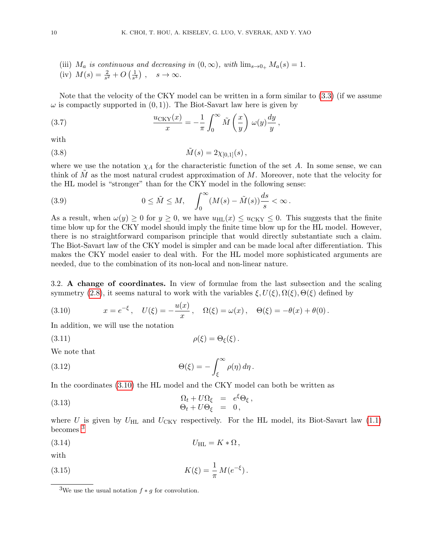(iii)  $M_a$  *is continuous and decreasing in*  $(0, \infty)$ *, with*  $\lim_{s\to 0_+} M_a(s) = 1$ *.*<br>(iv)  $M(s) = \frac{2}{s} + O(\frac{1}{s})$   $s \to \infty$ 

(iv) 
$$
M(s) = \frac{2}{s^2} + O(\frac{1}{s^3}), \quad s \to \infty.
$$

Note that the velocity of the CKY model can be written in a form similar to [\(3.3\)](#page-8-0) (if we assume  $\omega$  is compactly supported in  $(0, 1)$ . The Biot-Savart law here is given by

(3.7) 
$$
\frac{u_{\text{CKY}}(x)}{x} = -\frac{1}{\pi} \int_0^\infty \tilde{M}\left(\frac{x}{y}\right) \omega(y) \frac{dy}{y},
$$

with

(3.8) 
$$
\tilde{M}(s) = 2\chi_{[0,1]}(s) ,
$$

where we use the notation  $\chi_A$  for the characteristic function of the set A. In some sense, we can think of  $M$  as the most natural crudest approximation of  $M$ . Moreover, note that the velocity for the HL model is "stronger" than for the CKY model in the following sense:

(3.9) 
$$
0 \leq \tilde{M} \leq M, \quad \int_0^\infty (M(s) - \tilde{M}(s)) \frac{ds}{s} < \infty.
$$

As a result, when  $\omega(y) \geq 0$  for  $y \geq 0$ , we have  $u_{\text{HL}}(x) \leq u_{\text{CKY}} \leq 0$ . This suggests that the finite time blow up for the CKY model should imply the finite time blow up for the HL model. However, there is no straightforward comparison principle that would directly substantiate such a claim. The Biot-Savart law of the CKY model is simpler and can be made local after differentiation. This makes the CKY model easier to deal with. For the HL model more sophisticated arguments are needed, due to the combination of its non-local and non-linear nature.

3.2. A change of coordinates. In view of formulae from the last subsection and the scaling symmetry [\(2.8\)](#page-6-2), it seems natural to work with the variables  $\xi, U(\xi), \Omega(\xi), \Theta(\xi)$  defined by

<span id="page-9-0"></span>(3.10) 
$$
x = e^{-\xi}, \quad U(\xi) = -\frac{u(x)}{x}, \quad \Omega(\xi) = \omega(x), \quad \Theta(\xi) = -\theta(x) + \theta(0).
$$

In addition, we will use the notation

$$
\rho(\xi) = \Theta_{\xi}(\xi).
$$

We note that

(3.12) 
$$
\Theta(\xi) = -\int_{\xi}^{\infty} \rho(\eta) d\eta.
$$

In the coordinates [\(3.10\)](#page-9-0) the HL model and the CKY model can both be written as

<span id="page-9-2"></span>(3.13) 
$$
\begin{array}{rcl}\n\Omega_t + U\Omega_{\xi} &=& e^{\xi}\Theta_{\xi}, \\
\Theta_t + U\Theta_{\xi} &=& 0,\n\end{array}
$$

where U is given by  $U_{\text{HL}}$  and  $U_{\text{CKY}}$  respectively. For the HL model, its Biot-Savart law [\(1.1\)](#page-0-1) becomes [3](#page-9-1)

$$
U_{\rm HL}=K*\Omega\,,
$$

with

(3.15) 
$$
K(\xi) = \frac{1}{\pi} M(e^{-\xi}).
$$

<span id="page-9-1"></span><sup>&</sup>lt;sup>3</sup>We use the usual notation  $f * g$  for convolution.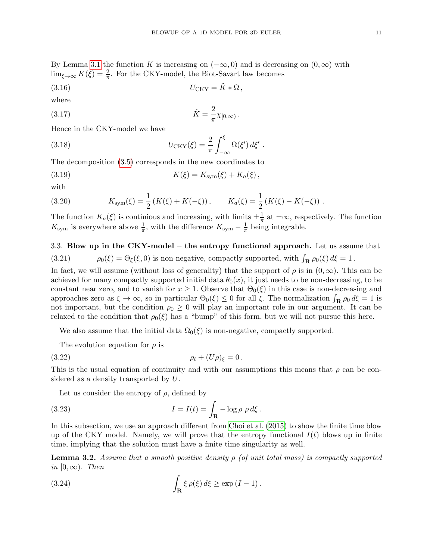<span id="page-10-3"></span>.

By Lemma [3.1](#page-8-1) the function K is increasing on  $(-\infty, 0)$  and is decreasing on  $(0, \infty)$  with  $\lim_{\xi \to \infty} K(\xi) = \frac{2}{\pi}$ . For the CKY-model, the Biot-Savart law becomes

$$
(3.16) \t\t UCKY = \tilde{K} * \Omega,
$$

where

$$
\tilde{K} = \frac{2}{\pi} \chi_{[0,\infty)}
$$

Hence in the CKY-model we have

(3.18) 
$$
U_{\text{CKY}}(\xi) = \frac{2}{\pi} \int_{-\infty}^{\xi} \Omega(\xi') d\xi' .
$$

The decomposition [\(3.5\)](#page-8-2) corresponds in the new coordinates to

(3.19) 
$$
K(\xi) = K_{sym}(\xi) + K_a(\xi),
$$

with

(3.20) 
$$
K_{\text{sym}}(\xi) = \frac{1}{2} \left( K(\xi) + K(-\xi) \right), \qquad K_a(\xi) = \frac{1}{2} \left( K(\xi) - K(-\xi) \right).
$$

The function  $K_a(\xi)$  is continious and increasing, with limits  $\pm \frac{1}{\pi}$  $\frac{1}{\pi}$  at  $\pm\infty$ , respectively. The function  $K_{\text{sym}}$  is everywhere above  $\frac{1}{\pi}$ , with the difference  $K_{\text{sym}} - \frac{1}{\pi}$  $\frac{1}{\pi}$  being integrable.

3.3. Blow up in the CKY-model – the entropy functional approach. Let us assume that (3.21)  $\rho_0(\xi) = \Theta_{\xi}(\xi, 0)$  is non-negative, compactly supported, with  $\int_{\mathbf{R}} \rho_0(\xi) d\xi = 1$ .

In fact, we will assume (without loss of generality) that the support of  $\rho$  is in  $(0, \infty)$ . This can be achieved for many compactly supported initial data  $\theta_0(x)$ , it just needs to be non-decreasing, to be constant near zero, and to vanish for  $x \geq 1$ . Observe that  $\Theta_0(\xi)$  in this case is non-decreasing and approaches zero as  $\xi \to \infty$ , so in particular  $\Theta_0(\xi) \leq 0$  for all  $\xi$ . The normalization  $\int_{\mathbf{R}} \rho_0 d\xi = 1$  is not important, but the condition  $\rho_0 \geq 0$  will play an important role in our argument. It can be relaxed to the condition that  $\rho_0(\xi)$  has a "bump" of this form, but we will not pursue this here.

We also assume that the initial data  $\Omega_0(\xi)$  is non-negative, compactly supported.

<span id="page-10-1"></span>The evolution equation for  $\rho$  is

(3.22) 
$$
\rho_t + (U\rho)_{\xi} = 0.
$$

This is the usual equation of continuity and with our assumptions this means that  $\rho$  can be considered as a density transported by U.

<span id="page-10-0"></span>Let us consider the entropy of  $\rho$ , defined by

(3.23) 
$$
I = I(t) = \int_{\mathbf{R}} -\log \rho \, \rho \, d\xi.
$$

In this subsection, we use an approach different from [Choi et al. \(2015\)](#page-20-12) to show the finite time blow up of the CKY model. Namely, we will prove that the entropy functional  $I(t)$  blows up in finite time, implying that the solution must have a finite time singularity as well.

<span id="page-10-2"></span>Lemma 3.2. *Assume that a smooth positive density* ρ *(of unit total mass) is compactly supported in*  $[0, \infty)$ *. Then* 

(3.24) 
$$
\int_{\mathbf{R}} \xi \rho(\xi) d\xi \ge \exp(I-1).
$$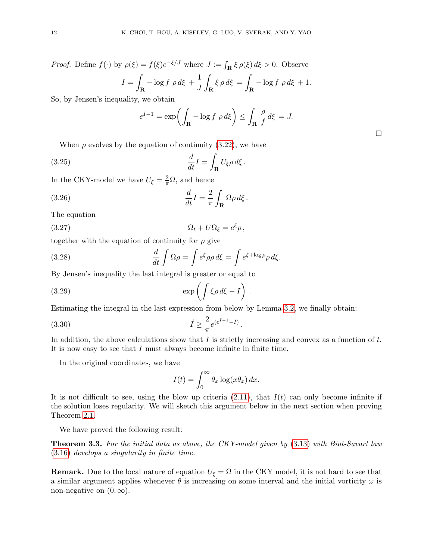*Proof.* Define 
$$
f(\cdot)
$$
 by  $\rho(\xi) = f(\xi)e^{-\xi/J}$  where  $J := \int_{\mathbf{R}} \xi \rho(\xi) d\xi > 0$ . Observe  

$$
I = \int_{\mathbf{R}} -\log f \rho d\xi + \frac{1}{J} \int_{\mathbf{R}} \xi \rho d\xi = \int_{\mathbf{R}} -\log f \rho d\xi + 1.
$$

So, by Jensen's inequality, we obtain

$$
e^{I-1} = \exp\left(\int_{\mathbf{R}} -\log f \, \rho \, d\xi\right) \le \int_{\mathbf{R}} \frac{\rho}{f} \, d\xi = J.
$$

When  $\rho$  evolves by the equation of continuity [\(3.22\)](#page-10-1), we have

(3.25) 
$$
\frac{d}{dt}I = \int_{\mathbf{R}} U_{\xi} \rho \, d\xi.
$$

In the CKY-model we have  $U_{\xi} = \frac{2}{\pi} \Omega$ , and hence

(3.26) 
$$
\frac{d}{dt}I = \frac{2}{\pi} \int_{\mathbf{R}} \Omega \rho \, d\xi.
$$

The equation

$$
(3.27) \t\t \t\t \Omega_{\xi} = e^{\xi} \rho \,,
$$

together with the equation of continuity for  $\rho$  give

(3.28) 
$$
\frac{d}{dt}\int\Omega\rho = \int e^{\xi}\rho\rho d\xi = \int e^{\xi+\log\rho}\rho d\xi.
$$

By Jensen's inequality the last integral is greater or equal to

$$
(3.29) \t\t exp\left(\int \xi \rho \, d\xi - I\right).
$$

Estimating the integral in the last expression from below by Lemma [3.2,](#page-10-2) we finally obtain:

(3.30) 
$$
\ddot{I} \geq \frac{2}{\pi} e^{(e^{I-1}-I)}.
$$

In addition, the above calculations show that I is strictly increasing and convex as a function of  $t$ . It is now easy to see that I must always become infinite in finite time.

In the original coordinates, we have

$$
I(t) = \int_0^\infty \theta_x \log(x\theta_x) \, dx.
$$

It is not difficult to see, using the blow up criteria  $(2.11)$ , that  $I(t)$  can only become infinite if the solution loses regularity. We will sketch this argument below in the next section when proving Theorem [2.1.](#page-6-3)

We have proved the following result:

Theorem 3.3. *For the initial data as above, the CKY-model given by* [\(3.13\)](#page-9-2) *with Biot-Savart law* [\(3.16\)](#page-10-3) *develops a singularity in finite time.*

**Remark.** Due to the local nature of equation  $U_{\xi} = \Omega$  in the CKY model, it is not hard to see that a similar argument applies whenever  $\theta$  is increasing on some interval and the initial vorticity  $\omega$  is non-negative on  $(0, \infty)$ .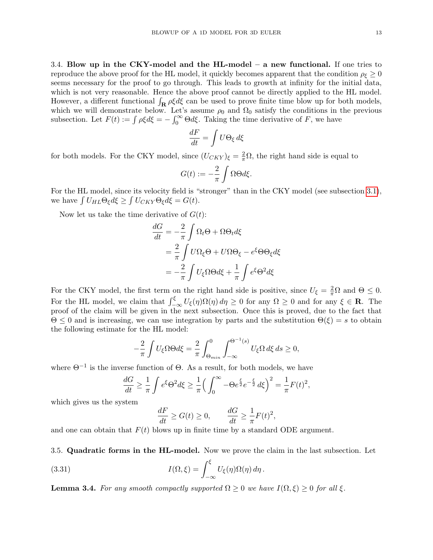3.4. Blow up in the CKY-model and the HL-model – a new functional. If one tries to reproduce the above proof for the HL model, it quickly becomes apparent that the condition  $\rho_{\xi} \geq 0$ seems necessary for the proof to go through. This leads to growth at infinity for the initial data, which is not very reasonable. Hence the above proof cannot be directly applied to the HL model. However, a different functional  $\int_{\mathbf{R}} \rho \xi d\xi$  can be used to prove finite time blow up for both models, which we will demonstrate below. Let's assume  $\rho_0$  and  $\Omega_0$  satisfy the conditions in the previous subsection. Let  $F(t) := \int \rho \xi d\xi = -\int_0^\infty \Theta d\xi$ . Taking the time derivative of F, we have

$$
\frac{dF}{dt} = \int U \Theta_{\xi} d\xi
$$

for both models. For the CKY model, since  $(U_{CKY})_{\xi} = \frac{2}{\pi} \Omega$ , the right hand side is equal to

$$
G(t) := -\frac{2}{\pi} \int \Omega \Theta d\xi.
$$

For the HL model, since its velocity field is "stronger" than in the CKY model (see subsection [3.1\)](#page-8-3), we have  $\int U_{HL} \Theta_{\xi} d\xi \ge \int U_{CKY} \Theta_{\xi} d\xi = G(t)$ .

Now let us take the time derivative of  $G(t)$ :

$$
\frac{dG}{dt} = -\frac{2}{\pi} \int \Omega_t \Theta + \Omega \Theta_t d\xi
$$
  
=  $\frac{2}{\pi} \int U \Omega_\xi \Theta + U \Omega \Theta_\xi - e^\xi \Theta \Theta_\xi d\xi$   
=  $-\frac{2}{\pi} \int U_\xi \Omega \Theta d\xi + \frac{1}{\pi} \int e^\xi \Theta^2 d\xi$ 

For the CKY model, the first term on the right hand side is positive, since  $U_{\xi} = \frac{2}{\pi}\Omega$  and  $\Theta \leq 0$ . For the HL model, we claim that  $\int_{-\infty}^{\xi} U_{\xi}(\eta) \Omega(\eta) d\eta \ge 0$  for any  $\Omega \ge 0$  and for any  $\xi \in \mathbb{R}$ . The proof of the claim will be given in the next subsection. Once this is proved, due to the fact that  $\Theta \leq 0$  and is increasing, we can use integration by parts and the substitution  $\Theta(\xi) = s$  to obtain the following estimate for the HL model:

$$
-\frac{2}{\pi} \int U_{\xi} \Omega \Theta d\xi = \frac{2}{\pi} \int_{\Theta_{min}}^{0} \int_{-\infty}^{\Theta^{-1}(s)} U_{\xi} \Omega d\xi ds \ge 0,
$$

where  $\Theta^{-1}$  is the inverse function of  $\Theta$ . As a result, for both models, we have

$$
\frac{dG}{dt} \ge \frac{1}{\pi} \int e^{\xi} \Theta^2 d\xi \ge \frac{1}{\pi} \Big( \int_0^{\infty} -\Theta e^{\frac{\xi}{2}} e^{-\frac{\xi}{2}} d\xi \Big)^2 = \frac{1}{\pi} F(t)^2,
$$

which gives us the system

$$
\frac{dF}{dt} \ge G(t) \ge 0, \qquad \frac{dG}{dt} \ge \frac{1}{\pi} F(t)^2,
$$

and one can obtain that  $F(t)$  blows up in finite time by a standard ODE argument.

3.5. Quadratic forms in the HL-model. Now we prove the claim in the last subsection. Let

(3.31) 
$$
I(\Omega,\xi) = \int_{-\infty}^{\xi} U_{\xi}(\eta) \Omega(\eta) d\eta.
$$

<span id="page-12-0"></span>**Lemma 3.4.** *For any smooth compactly supported*  $\Omega \geq 0$  *we have*  $I(\Omega, \xi) \geq 0$  *for all*  $\xi$ *.*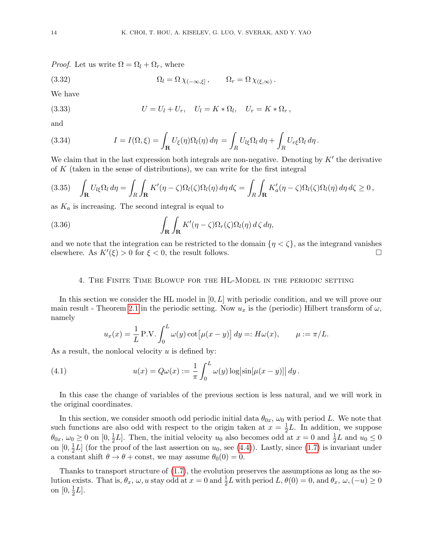*Proof.* Let us write  $\Omega = \Omega_l + \Omega_r$ , where

(3.32) 
$$
\Omega_l = \Omega \chi_{(-\infty,\xi]}, \qquad \Omega_r = \Omega \chi_{(\xi,\infty)}.
$$

We have

(3.33) 
$$
U = U_l + U_r, \quad U_l = K * \Omega_l, \quad U_r = K * \Omega_r,
$$

and

(3.34) 
$$
I = I(\Omega, \xi) = \int_{\mathbf{R}} U_{\xi}(\eta) \Omega_l(\eta) d\eta = \int_R U_{l\xi} \Omega_l d\eta + \int_R U_{r\xi} \Omega_l d\eta.
$$

We claim that in the last expression both integrals are non-negative. Denoting by  $K'$  the derivative of K (taken in the sense of distributions), we can write for the first integral

$$
(3.35) \int_{\mathbf{R}} U_{l\xi} \Omega_l d\eta = \int_R \int_{\mathbf{R}} K'(\eta - \zeta) \Omega_l(\zeta) \Omega_l(\eta) d\eta d\zeta = \int_R \int_{\mathbf{R}} K'_a(\eta - \zeta) \Omega_l(\zeta) \Omega_l(\eta) d\eta d\zeta \ge 0,
$$

as  $K_a$  is increasing. The second integral is equal to

(3.36) 
$$
\int_{\mathbf{R}} \int_{\mathbf{R}} K'(\eta - \zeta) \Omega_r(\zeta) \Omega_l(\eta) d\zeta d\eta,
$$

and we note that the integration can be restricted to the domain  $\{\eta < \zeta\}$ , as the integrand vanishes elsewhere. As  $K'(\xi) > 0$  for  $\xi < 0$ , the result follows. elsewhere. As  $K'(\xi) > 0$  for  $\xi < 0$ , the result follows.

## 4. The Finite Time Blowup for the HL-Model in the periodic setting

In this section we consider the HL model in  $[0, L]$  with periodic condition, and we will prove our main result - Theorem [2.1](#page-6-3) in the periodic setting. Now  $u_x$  is the (periodic) Hilbert transform of  $\omega$ , namely

<span id="page-13-0"></span>
$$
u_x(x) = \frac{1}{L} P.V. \int_0^L \omega(y) \cot[\mu(x - y)] dy =: H\omega(x), \qquad \mu := \pi/L.
$$

As a result, the nonlocal velocity  $u$  is defined by:

(4.1) 
$$
u(x) = Q\omega(x) := \frac{1}{\pi} \int_0^L \omega(y) \log|\sin[\mu(x - y)]| dy.
$$

In this case the change of variables of the previous section is less natural, and we will work in the original coordinates.

In this section, we consider smooth odd periodic initial data  $\theta_{0x}$ ,  $\omega_0$  with period L. We note that such functions are also odd with respect to the origin taken at  $x=\frac{1}{2}$  $\frac{1}{2}L$ . In addition, we suppose  $\theta_{0x}, \omega_0 \ge 0$  on  $[0, \frac{1}{2}]$  $\frac{1}{2}L$ . Then, the initial velocity  $u_0$  also becomes odd at  $x = 0$  and  $\frac{1}{2}L$  and  $u_0 \le 0$ on  $[0, \frac{1}{2}]$  $\frac{1}{2}L$ ] (for the proof of the last assertion on  $u_0$ , see [\(4.4\)](#page-14-1)). Lastly, since [\(1.7\)](#page-1-2) is invariant under a constant shift  $\theta \to \theta + \text{const}$ , we may assume  $\theta_0(0) = 0$ .

Thanks to transport structure of [\(1.7\)](#page-1-2), the evolution preserves the assumptions as long as the solution exists. That is,  $\theta_x$ ,  $\omega$ , u stay odd at  $x = 0$  and  $\frac{1}{2}L$  with period  $L$ ,  $\theta(0) = 0$ , and  $\theta_x$ ,  $\omega$ ,  $(-u) \ge 0$ on  $[0, \frac{1}{2}]$  $\frac{1}{2}L$ .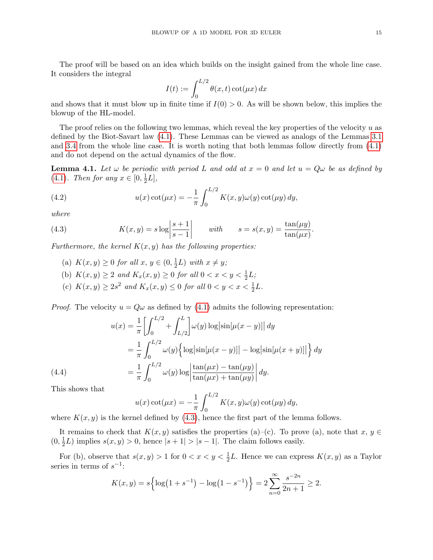The proof will be based on an idea which builds on the insight gained from the whole line case. It considers the integral

$$
I(t) := \int_0^{L/2} \theta(x, t) \cot(\mu x) dx
$$

and shows that it must blow up in finite time if  $I(0) > 0$ . As will be shown below, this implies the blowup of the HL-model.

The proof relies on the following two lemmas, which reveal the key properties of the velocity  $u$  as defined by the Biot-Savart law [\(4.1\)](#page-13-0). These Lemmas can be viewed as analogs of the Lemmas [3.1](#page-8-1) and [3.4](#page-12-0) from the whole line case. It is worth noting that both lemmas follow directly from [\(4.1\)](#page-13-0) and do not depend on the actual dynamics of the flow.

<span id="page-14-4"></span>**Lemma 4.1.** Let  $\omega$  be periodic with period L and odd at  $x = 0$  and let  $u = Q\omega$  be as defined by  $(4.1)$ *. Then for any*  $x \in [0, \frac{1}{2}]$  $\frac{1}{2}L],$ 

<span id="page-14-3"></span>(4.2) 
$$
u(x)\cot(\mu x) = -\frac{1}{\pi} \int_0^{L/2} K(x, y)\omega(y)\cot(\mu y) \,dy,
$$

*where*

(4.3) 
$$
K(x,y) = s \log \left| \frac{s+1}{s-1} \right| \quad \text{with} \quad s = s(x,y) = \frac{\tan(\mu y)}{\tan(\mu x)}.
$$

*Furthermore, the kernel*  $K(x, y)$  *has the following properties:* 

- <span id="page-14-2"></span>(a)  $K(x, y) \ge 0$  *for all*  $x, y \in (0, \frac{1}{2})$  $(\frac{1}{2}L)$  *with*  $x \neq y$ ;
- (b)  $K(x, y) \ge 2$  and  $K_x(x, y) \ge 0$  for all  $0 < x < y < \frac{1}{2}L$ ;
- <span id="page-14-0"></span>(c)  $K(x, y) \ge 2s^2$  and  $K_x(x, y) \le 0$  for all  $0 < y < x < \frac{1}{2}L$ .

*Proof.* The velocity  $u = Q\omega$  as defined by [\(4.1\)](#page-13-0) admits the following representation:

(4.4)  
\n
$$
u(x) = \frac{1}{\pi} \left[ \int_0^{L/2} + \int_{L/2}^L \omega(y) \log |\sin[\mu(x - y)]| dy \right]
$$
\n
$$
= \frac{1}{\pi} \int_0^{L/2} \omega(y) \left\{ \log |\sin[\mu(x - y)]| - \log |\sin[\mu(x + y)]| \right\} dy
$$
\n
$$
= \frac{1}{\pi} \int_0^{L/2} \omega(y) \log \left| \frac{\tan(\mu x) - \tan(\mu y)}{\tan(\mu x) + \tan(\mu y)} \right| dy.
$$

<span id="page-14-1"></span>This shows that

$$
u(x)\cot(\mu x) = -\frac{1}{\pi} \int_0^{L/2} K(x, y)\omega(y)\cot(\mu y) dy,
$$

where  $K(x, y)$  is the kernel defined by [\(4.3\)](#page-14-2), hence the first part of the lemma follows.

It remains to check that  $K(x, y)$  satisfies the properties (a)–(c). To prove (a), note that  $x, y \in$  $(0, \frac{1}{2})$  $\frac{1}{2}L$ ) implies  $s(x, y) > 0$ , hence  $|s + 1| > |s - 1|$ . The claim follows easily.

For (b), observe that  $s(x, y) > 1$  for  $0 < x < y < \frac{1}{2}L$ . Hence we can express  $K(x, y)$  as a Taylor series in terms of  $s^{-1}$ :

$$
K(x,y) = s\left\{\log\left(1+s^{-1}\right) - \log\left(1-s^{-1}\right)\right\} = 2\sum_{n=0}^{\infty} \frac{s^{-2n}}{2n+1} \ge 2.
$$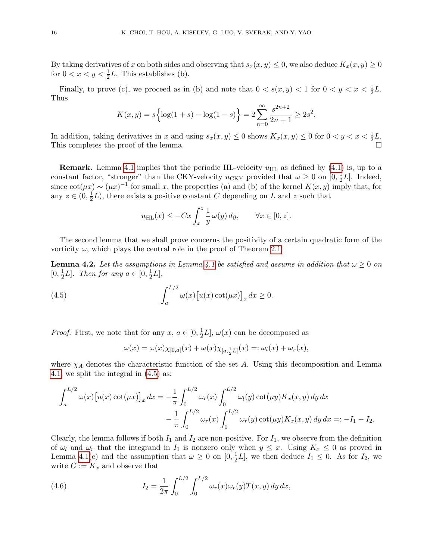By taking derivatives of x on both sides and observing that  $s_x(x, y) \leq 0$ , we also deduce  $K_x(x, y) \geq 0$ for  $0 < x < y < \frac{1}{2}L$ . This establishes (b).

Finally, to prove (c), we proceed as in (b) and note that  $0 < s(x, y) < 1$  for  $0 < y < x < \frac{1}{2}L$ . Thus

$$
K(x,y) = s\left\{\log(1+s) - \log(1-s)\right\} = 2\sum_{n=0}^{\infty} \frac{s^{2n+2}}{2n+1} \ge 2s^2.
$$

In addition, taking derivatives in x and using  $s_x(x, y) \le 0$  shows  $K_x(x, y) \le 0$  for  $0 < y < x < \frac{1}{2}L$ . This completes the proof of the lemma.

**Remark.** Lemma [4.1](#page-14-0) implies that the periodic HL-velocity  $u_{HL}$  as defined by [\(4.1\)](#page-13-0) is, up to a constant factor, "stronger" than the CKY-velocity  $u_{\text{CKY}}$  provided that  $\omega \geq 0$  on  $[0, \frac{1}{2}]$  $\frac{1}{2}L$ . Indeed, since  $\cot(\mu x) \sim (\mu x)^{-1}$  for small x, the properties (a) and (b) of the kernel  $K(x, y)$  imply that, for any  $z \in (0, \frac{1}{2})$  $\frac{1}{2}L$ , there exists a positive constant C depending on L and z such that

$$
u_{\rm HL}(x) \le -Cx \int_x^z \frac{1}{y} \,\omega(y) \,dy, \qquad \forall x \in [0, z].
$$

The second lemma that we shall prove concerns the positivity of a certain quadratic form of the vorticity  $\omega$ , which plays the central role in the proof of Theorem [2.1.](#page-6-3)

<span id="page-15-0"></span>**Lemma 4.2.** Let the assumptions in Lemma [4.1](#page-14-0) be satisfied and assume in addition that  $\omega \geq 0$  on  $[0, \frac{1}{2}]$  $\frac{1}{2}L$ ]. Then for any  $a \in [0, \frac{1}{2}]$  $\frac{1}{2}L],$ 

(4.5) 
$$
\int_{a}^{L/2} \omega(x) \left[ u(x) \cot(\mu x) \right]_{x} dx \geq 0.
$$

*Proof.* First, we note that for any  $x, a \in [0, \frac{1}{2}]$  $\frac{1}{2}L, \omega(x)$  can be decomposed as

<span id="page-15-1"></span>
$$
\omega(x) = \omega(x)\chi_{[0,a]}(x) + \omega(x)\chi_{[a,\frac{1}{2}L]}(x) =: \omega_l(x) + \omega_r(x),
$$

where  $\chi_A$  denotes the characteristic function of the set A. Using this decomposition and Lemma [4.1,](#page-14-0) we split the integral in [\(4.5\)](#page-15-1) as:

$$
\int_{a}^{L/2} \omega(x) [u(x) \cot(\mu x)]_{x} dx = -\frac{1}{\pi} \int_{0}^{L/2} \omega_{r}(x) \int_{0}^{L/2} \omega_{l}(y) \cot(\mu y) K_{x}(x, y) dy dx \n- \frac{1}{\pi} \int_{0}^{L/2} \omega_{r}(x) \int_{0}^{L/2} \omega_{r}(y) \cot(\mu y) K_{x}(x, y) dy dx =: -I_{1} - I_{2}.
$$

Clearly, the lemma follows if both  $I_1$  and  $I_2$  are non-positive. For  $I_1$ , we observe from the definition of  $\omega_l$  and  $\omega_r$  that the integrand in  $I_1$  is nonzero only when  $y \leq x$ . Using  $K_x \leq 0$  as proved in Lemma [4.1\(](#page-14-0)c) and the assumption that  $\omega \geq 0$  on  $[0, \frac{1}{2}]$  $\frac{1}{2}L$ , we then deduce  $I_1 \leq 0$ . As for  $I_2$ , we write  $G := K_x$  and observe that

<span id="page-15-2"></span>(4.6) 
$$
I_2 = \frac{1}{2\pi} \int_0^{L/2} \int_0^{L/2} \omega_r(x) \omega_r(y) T(x, y) dy dx,
$$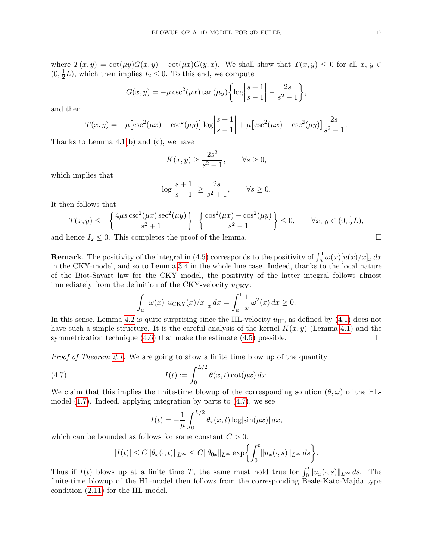where  $T(x, y) = \cot(\mu y)G(x, y) + \cot(\mu x)G(y, x)$ . We shall show that  $T(x, y) \leq 0$  for all  $x, y \in$  $(0, \frac{1}{2})$  $\frac{1}{2}L$ ), which then implies  $I_2 \leq 0$ . To this end, we compute

$$
G(x,y) = -\mu \csc^2(\mu x) \tan(\mu y) \left\{ \log \left| \frac{s+1}{s-1} \right| - \frac{2s}{s^2 - 1} \right\},\,
$$

and then

$$
T(x,y) = -\mu \left[ \csc^2(\mu x) + \csc^2(\mu y) \right] \log \left| \frac{s+1}{s-1} \right| + \mu \left[ \csc^2(\mu x) - \csc^2(\mu y) \right] \frac{2s}{s^2 - 1}.
$$

Thanks to Lemma [4.1\(](#page-14-0)b) and (c), we have

$$
K(x,y) \ge \frac{2s^2}{s^2+1}, \qquad \forall s \ge 0,
$$

which implies that

$$
\log \left| \frac{s+1}{s-1} \right| \ge \frac{2s}{s^2 + 1}, \qquad \forall s \ge 0.
$$

It then follows that

$$
T(x,y) \le -\left\{ \frac{4\mu s \csc^2(\mu x) \sec^2(\mu y)}{s^2 + 1} \right\} \cdot \left\{ \frac{\cos^2(\mu x) - \cos^2(\mu y)}{s^2 - 1} \right\} \le 0, \quad \forall x, y \in (0, \frac{1}{2}L),
$$

and hence  $I_2 \leq 0$ . This completes the proof of the lemma.

**Remark**. The positivity of the integral in [\(4.5\)](#page-15-1) corresponds to the positivity of  $\int_a^1 \omega(x)[u(x)/x]_x dx$ in the CKY-model, and so to Lemma [3.4](#page-12-0) in the whole line case. Indeed, thanks to the local nature of the Biot-Savart law for the CKY model, the positivity of the latter integral follows almost immediately from the definition of the CKY-velocity  $u_{\text{CKY}}$ :

$$
\int_a^1 \omega(x) \big[ u_{\text{CKY}}(x)/x \big]_x \, dx = \int_a^1 \frac{1}{x} \, \omega^2(x) \, dx \ge 0.
$$

In this sense, Lemma [4.2](#page-15-1) is quite surprising since the HL-velocity  $u_{\text{HL}}$  as defined by [\(4.1\)](#page-13-0) does not have such a simple structure. It is the careful analysis of the kernel  $K(x, y)$  (Lemma [4.1\)](#page-14-0) and the symmetrization technique  $(4.6)$  that make the estimate  $(4.5)$  possible.

*Proof of Theorem [2.1.](#page-6-3)* We are going to show a finite time blow up of the quantity

(4.7) 
$$
I(t) := \int_0^{L/2} \theta(x, t) \cot(\mu x) dx.
$$

We claim that this implies the finite-time blowup of the corresponding solution  $(\theta, \omega)$  of the HLmodel [\(1.7\)](#page-1-2). Indeed, applying integration by parts to [\(4.7\)](#page-16-0), we see

<span id="page-16-0"></span>
$$
I(t) = -\frac{1}{\mu} \int_0^{L/2} \theta_x(x, t) \log|\sin(\mu x)| dx,
$$

which can be bounded as follows for some constant  $C > 0$ :

$$
|I(t)| \leq C ||\theta_x(\cdot, t)||_{L^{\infty}} \leq C ||\theta_{0x}||_{L^{\infty}} \exp\biggl\{\int_0^t ||u_x(\cdot, s)||_{L^{\infty}} ds\biggr\}.
$$

Thus if  $I(t)$  blows up at a finite time T, the same must hold true for  $\int_0^t ||u_x(\cdot, s)||_{L^\infty} ds$ . The finite-time blowup of the HL-model then follows from the corresponding Beale-Kato-Majda type condition [\(2.11\)](#page-6-1) for the HL model.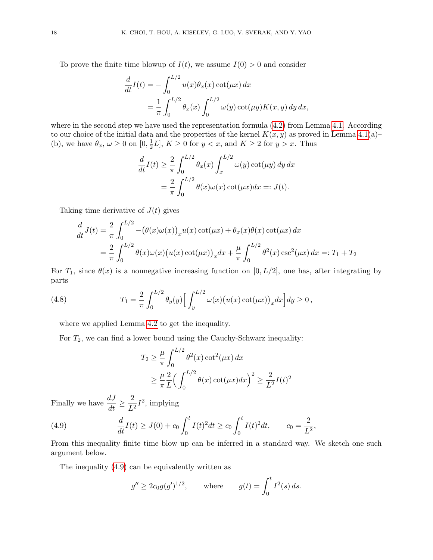To prove the finite time blowup of  $I(t)$ , we assume  $I(0) > 0$  and consider

$$
\frac{d}{dt}I(t) = -\int_0^{L/2} u(x)\theta_x(x)\cot(\mu x) dx
$$

$$
= \frac{1}{\pi} \int_0^{L/2} \theta_x(x) \int_0^{L/2} \omega(y)\cot(\mu y)K(x, y) dy dx,
$$

where in the second step we have used the representation formula  $(4.2)$  from Lemma [4.1.](#page-14-0) According to our choice of the initial data and the properties of the kernel  $K(x, y)$  as proved in Lemma [4.1\(](#page-14-0)a)– (b), we have  $\theta_x$ ,  $\omega \ge 0$  on  $[0, \frac{1}{2}]$  $\frac{1}{2}L$ ,  $K \geq 0$  for  $y < x$ , and  $K \geq 2$  for  $y > x$ . Thus

$$
\frac{d}{dt}I(t) \ge \frac{2}{\pi} \int_0^{L/2} \theta_x(x) \int_x^{L/2} \omega(y) \cot(\mu y) dy dx
$$

$$
= \frac{2}{\pi} \int_0^{L/2} \theta(x) \omega(x) \cot(\mu x) dx =: J(t).
$$

Taking time derivative of  $J(t)$  gives

$$
\frac{d}{dt}J(t) = \frac{2}{\pi} \int_0^{L/2} -(\theta(x)\omega(x))_x u(x) \cot(\mu x) + \theta_x(x)\theta(x) \cot(\mu x) dx
$$
  
=  $\frac{2}{\pi} \int_0^{L/2} \theta(x)\omega(x) (u(x) \cot(\mu x))_x dx + \frac{\mu}{\pi} \int_0^{L/2} \theta^2(x) \csc^2(\mu x) dx =: T_1 + T_2$ 

For  $T_1$ , since  $\theta(x)$  is a nonnegative increasing function on [0, L/2], one has, after integrating by parts

(4.8) 
$$
T_1 = \frac{2}{\pi} \int_0^{L/2} \theta_y(y) \Big[ \int_y^{L/2} \omega(x) (u(x) \cot(\mu x))_x dx \Big] dy \ge 0,
$$

where we applied Lemma [4.2](#page-15-1) to get the inequality.

For  $T_2$ , we can find a lower bound using the Cauchy-Schwarz inequality:

$$
T_2 \ge \frac{\mu}{\pi} \int_0^{L/2} \theta^2(x) \cot^2(\mu x) dx
$$
  
 
$$
\ge \frac{\mu}{\pi} \frac{2}{L} \Big( \int_0^{L/2} \theta(x) \cot(\mu x) dx \Big)^2 \ge \frac{2}{L^2} I(t)^2
$$

Finally we have  $\frac{dJ}{dt} \geq$ 2  $\frac{2}{L^2}I^2$ , implying

(4.9) 
$$
\frac{d}{dt}I(t) \geq J(0) + c_0 \int_0^t I(t)^2 dt \geq c_0 \int_0^t I(t)^2 dt, \qquad c_0 = \frac{2}{L^2},
$$

From this inequality finite time blow up can be inferred in a standard way. We sketch one such argument below.

The inequality [\(4.9\)](#page-17-0) can be equivalently written as

<span id="page-17-0"></span>
$$
g'' \ge 2c_0 g(g')^{1/2}
$$
, where  $g(t) = \int_0^t I^2(s) ds$ .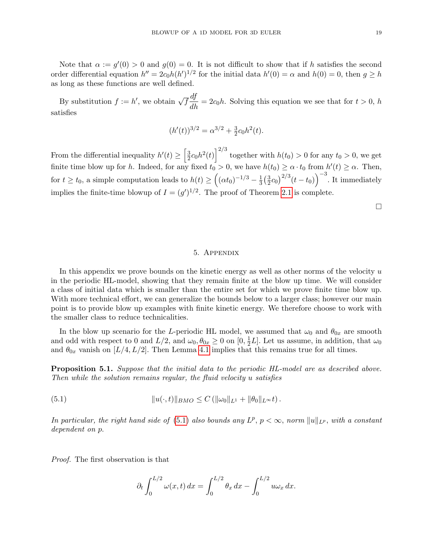Note that  $\alpha := g'(0) > 0$  and  $g(0) = 0$ . It is not difficult to show that if h satisfies the second order differential equation  $h'' = 2c_0h(h')^{1/2}$  for the initial data  $h'(0) = \alpha$  and  $h(0) = 0$ , then  $g \geq h$ as long as these functions are well defined.

By substitution  $f := h'$ , we obtain  $\sqrt{f} \frac{df}{dh} = 2c_0h$ . Solving this equation we see that for  $t > 0$ , h satisfies

$$
(h'(t))^{3/2} = \alpha^{3/2} + \frac{3}{2}c_0h^2(t).
$$

From the differential inequality  $h'(t) \geq \left[\frac{3}{2}\right]$  $\left(\frac{3}{2}c_0h^2(t)\right)^{2/3}$  together with  $h(t_0) > 0$  for any  $t_0 > 0$ , we get finite time blow up for h. Indeed, for any fixed  $t_0 > 0$ , we have  $h(t_0) \ge \alpha \cdot t_0$  from  $h'(t) \ge \alpha$ . Then, for  $t \ge t_0$ , a simple computation leads to  $h(t) \ge \left(\left(\alpha t_0\right)^{-1/3} - \frac{1}{3}\right)$  $rac{1}{3}(\frac{3}{2})$  $\left(\frac{3}{2}c_0\right)^{2/3}(t-t_0)\right)^{-3}$ . It immediately implies the finite-time blowup of  $I = (g')^{1/2}$ . The proof of Theorem [2.1](#page-6-3) is complete.

 $\Box$ 

## 5. Appendix

In this appendix we prove bounds on the kinetic energy as well as other norms of the velocity  $u$ in the periodic HL-model, showing that they remain finite at the blow up time. We will consider a class of initial data which is smaller than the entire set for which we prove finite time blow up. With more technical effort, we can generalize the bounds below to a larger class; however our main point is to provide blow up examples with finite kinetic energy. We therefore choose to work with the smaller class to reduce technicalities.

In the blow up scenario for the L-periodic HL model, we assumed that  $\omega_0$  and  $\theta_{0x}$  are smooth and odd with respect to 0 and  $L/2$ , and  $\omega_0, \theta_{0x} \ge 0$  on  $[0, \frac{1}{2}]$  $\frac{1}{2}L$ . Let us assume, in addition, that  $\omega_0$ and  $\theta_{0x}$  vanish on [L/4, L/2]. Then Lemma [4.1](#page-14-4) implies that this remains true for all times.

Proposition 5.1. *Suppose that the initial data to the periodic HL-model are as described above. Then while the solution remains regular, the fluid velocity* u *satisfies*

(5.1) 
$$
||u(\cdot,t)||_{BMO} \leq C (||\omega_0||_{L^1} + ||\theta_0||_{L^\infty} t).
$$

*In particular, the right hand side of* [\(5.1\)](#page-18-0) *also bounds any*  $L^p$ ,  $p < \infty$ , *norm*  $||u||_{L^p}$ , *with a constant dependent on* p.

*Proof.* The first observation is that

<span id="page-18-0"></span>
$$
\partial_t \int_0^{L/2} \omega(x, t) dx = \int_0^{L/2} \theta_x dx - \int_0^{L/2} u \omega_x dx.
$$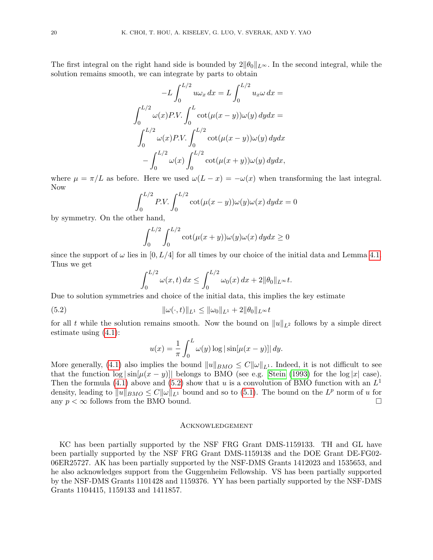The first integral on the right hand side is bounded by  $2\|\theta_0\|_{L^{\infty}}$ . In the second integral, while the solution remains smooth, we can integrate by parts to obtain

$$
-L\int_0^{L/2} u\omega_x dx = L\int_0^{L/2} u_x \omega dx =
$$
  

$$
\int_0^{L/2} \omega(x) P.V. \int_0^L \cot(\mu(x-y))\omega(y) dy dx =
$$
  

$$
\int_0^{L/2} \omega(x) P.V. \int_0^{L/2} \cot(\mu(x-y))\omega(y) dy dx
$$
  

$$
-\int_0^{L/2} \omega(x) \int_0^{L/2} \cot(\mu(x+y))\omega(y) dy dx,
$$

where  $\mu = \pi/L$  as before. Here we used  $\omega(L - x) = -\omega(x)$  when transforming the last integral. Now

$$
\int_0^{L/2} P.V. \int_0^{L/2} \cot(\mu(x-y)) \omega(y) \omega(x) dy dx = 0
$$

by symmetry. On the other hand,

$$
\int_0^{L/2} \int_0^{L/2} \cot(\mu(x+y)) \omega(y) \omega(x) dy dx \ge 0
$$

since the support of  $\omega$  lies in [0, L/4] for all times by our choice of the initial data and Lemma [4.1.](#page-14-4) Thus we get

$$
\int_0^{L/2} \omega(x, t) dx \le \int_0^{L/2} \omega_0(x) dx + 2||\theta_0||_{L^\infty} t.
$$

Due to solution symmetries and choice of the initial data, this implies the key estimate

(5.2) 
$$
\|\omega(\cdot,t)\|_{L^1} \le \|\omega_0\|_{L^1} + 2\|\theta_0\|_{L^\infty} t
$$

for all t while the solution remains smooth. Now the bound on  $||u||_{L^2}$  follows by a simple direct estimate using [\(4.1\)](#page-13-0):

<span id="page-19-0"></span>
$$
u(x) = \frac{1}{\pi} \int_0^L \omega(y) \log|\sin[\mu(x-y)]| dy.
$$

More generally, [\(4.1\)](#page-13-0) also implies the bound  $||u||_{BMO} \leq C||\omega||_{L^1}$ . Indeed, it is not difficult to see that the function  $\log|\sin(\mu(x-y))|$  belongs to BMO (see e.g. [Stein \(1993\)](#page-21-5) for the  $\log|x|$  case). Then the formula [\(4.1\)](#page-13-0) above and [\(5.2\)](#page-19-0) show that u is a convolution of BMO function with an  $L^1$ density, leading to  $||u||_{BMO} \leq C||\omega||_{L^1}$  bound and so to [\(5.1\)](#page-18-0). The bound on the  $L^p$  norm of u for any  $p < \infty$  follows from the BMO bound.

### **ACKNOWLEDGEMENT**

KC has been partially supported by the NSF FRG Grant DMS-1159133. TH and GL have been partially supported by the NSF FRG Grant DMS-1159138 and the DOE Grant DE-FG02- 06ER25727. AK has been partially supported by the NSF-DMS Grants 1412023 and 1535653, and he also acknowledges support from the Guggenheim Fellowship. VS has been partially supported by the NSF-DMS Grants 1101428 and 1159376. YY has been partially supported by the NSF-DMS Grants 1104415, 1159133 and 1411857.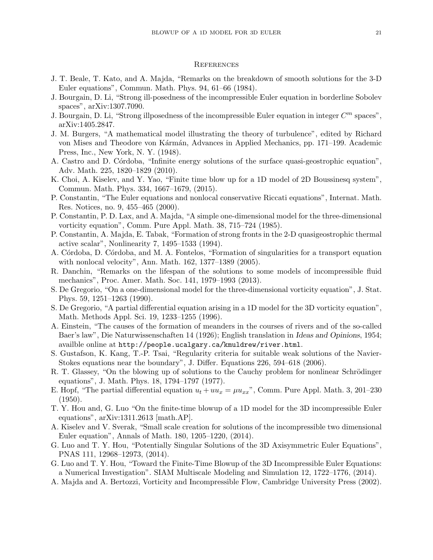#### **REFERENCES**

- <span id="page-20-18"></span>J. T. Beale, T. Kato, and A. Majda, "Remarks on the breakdown of smooth solutions for the 3-D Euler equations", Commun. Math. Phys. 94, 61–66 (1984).
- <span id="page-20-16"></span>J. Bourgain, D. Li, "Strong ill-posedness of the incompressible Euler equation in borderline Sobolev spaces", arXiv:1307.7090.
- <span id="page-20-20"></span>J. Bourgain, D. Li, "Strong illposedness of the incompressible Euler equation in integer  $C<sup>m</sup>$  spaces", arXiv:1405.2847.
- <span id="page-20-2"></span>J. M. Burgers, "A mathematical model illustrating the theory of turbulence", edited by Richard von Mises and Theodore von Kármán, Advances in Applied Mechanics, pp. 171–199. Academic Press, Inc., New York, N. Y. (1948).
- <span id="page-20-10"></span>A. Castro and D. Córdoba, "Infinite energy solutions of the surface quasi-geostrophic equation", Adv. Math. 225, 1820–1829 (2010).
- <span id="page-20-12"></span>K. Choi, A. Kiselev, and Y. Yao, "Finite time blow up for a 1D model of 2D Boussinesq system", Commun. Math. Phys. 334, 1667–1679, (2015).
- <span id="page-20-21"></span>P. Constantin, "The Euler equations and nonlocal conservative Riccati equations", Internat. Math. Res. Notices, no. 9, 455–465 (2000).
- <span id="page-20-4"></span>P. Constantin, P. D. Lax, and A. Majda, "A simple one-dimensional model for the three-dimensional vorticity equation", Comm. Pure Appl. Math. 38, 715–724 (1985).
- <span id="page-20-9"></span>P. Constantin, A. Majda, E. Tabak, "Formation of strong fronts in the 2-D quasigeostrophic thermal active scalar", Nonlinearity 7, 1495–1533 (1994).
- <span id="page-20-7"></span>A. Córdoba, D. Córdoba, and M. A. Fontelos, "Formation of singularities for a transport equation with nonlocal velocity", Ann. Math. 162, 1377–1389 (2005).
- <span id="page-20-19"></span>R. Danchin, "Remarks on the lifespan of the solutions to some models of incompressible fluid mechanics", Proc. Amer. Math. Soc. 141, 1979–1993 (2013).
- <span id="page-20-5"></span>S. De Gregorio, "On a one-dimensional model for the three-dimensional vorticity equation", J. Stat. Phys. 59, 1251–1263 (1990).
- <span id="page-20-6"></span>S. De Gregorio, "A partial differential equation arising in a 1D model for the 3D vorticity equation", Math. Methods Appl. Sci. 19, 1233–1255 (1996).
- <span id="page-20-13"></span>A. Einstein, "The causes of the formation of meanders in the courses of rivers and of the so-called Baer's law", Die Naturwissenschaften 14 (1926); English translation in Ideas and Opinions, 1954; availble online at http://people.ucalgary.ca/˜kmuldrew/river.html.
- <span id="page-20-14"></span>S. Gustafson, K. Kang, T.-P. Tsai, "Regularity criteria for suitable weak solutions of the Navier-Stokes equations near the boundary", J. Differ. Equations 226, 594–618 (2006).
- <span id="page-20-17"></span>R. T. Glassey, "On the blowing up of solutions to the Cauchy problem for nonlinear Schrödinger equations", J. Math. Phys. 18, 1794–1797 (1977).
- <span id="page-20-3"></span>E. Hopf, "The partial differential equation  $u_t + uu_x = \mu u_{xx}$ ", Comm. Pure Appl. Math. 3, 201–230 (1950).
- <span id="page-20-11"></span>T. Y. Hou and, G. Luo "On the finite-time blowup of a 1D model for the 3D incompressible Euler equations", arXiv:1311.2613 [math.AP].
- <span id="page-20-8"></span>A. Kiselev and V. Sverak, "Small scale creation for solutions of the incompressible two dimensional Euler equation", Annals of Math. 180, 1205–1220, (2014).
- <span id="page-20-0"></span>G. Luo and T. Y. Hou, "Potentially Singular Solutions of the 3D Axisymmetric Euler Equations", PNAS 111, 12968–12973, (2014).
- <span id="page-20-1"></span>G. Luo and T. Y. Hou, "Toward the Finite-Time Blowup of the 3D Incompressible Euler Equations: a Numerical Investigation". SIAM Multiscale Modeling and Simulation 12, 1722–1776, (2014).
- <span id="page-20-15"></span>A. Majda and A. Bertozzi, Vorticity and Incompressible Flow, Cambridge University Press (2002).